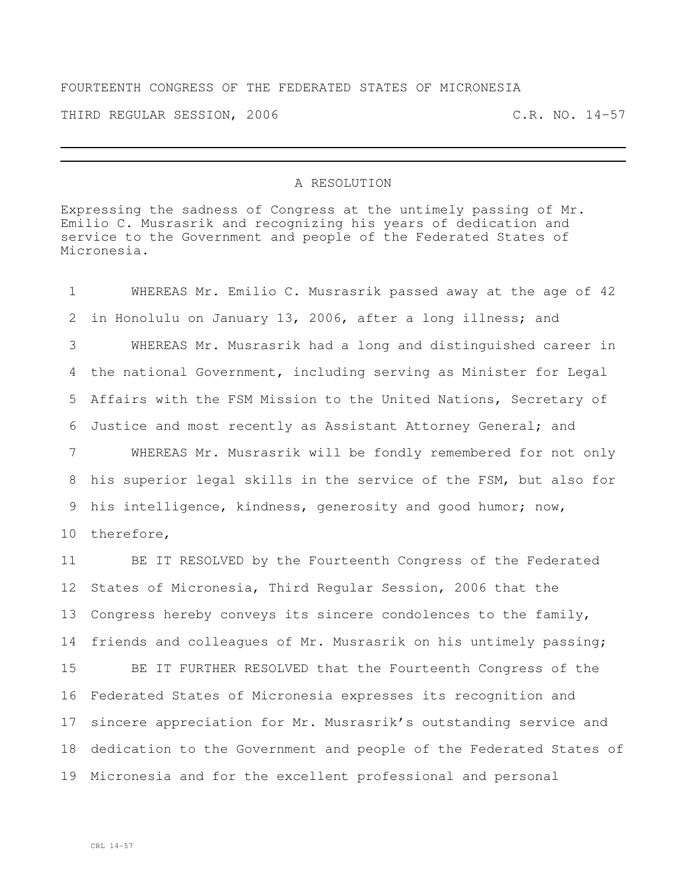## FOURTEENTH CONGRESS OF THE FEDERATED STATES OF MICRONESIA

THIRD REGULAR SESSION, 2006 C.R. NO. 14-57

## A RESOLUTION

Expressing the sadness of Congress at the untimely passing of Mr. Emilio C. Musrasrik and recognizing his years of dedication and service to the Government and people of the Federated States of Micronesia.

 WHEREAS Mr. Emilio C. Musrasrik passed away at the age of 42 in Honolulu on January 13, 2006, after a long illness; and WHEREAS Mr. Musrasrik had a long and distinguished career in the national Government, including serving as Minister for Legal Affairs with the FSM Mission to the United Nations, Secretary of Justice and most recently as Assistant Attorney General; and WHEREAS Mr. Musrasrik will be fondly remembered for not only his superior legal skills in the service of the FSM, but also for his intelligence, kindness, generosity and good humor; now, therefore,

 BE IT RESOLVED by the Fourteenth Congress of the Federated States of Micronesia, Third Regular Session, 2006 that the Congress hereby conveys its sincere condolences to the family, friends and colleagues of Mr. Musrasrik on his untimely passing; BE IT FURTHER RESOLVED that the Fourteenth Congress of the Federated States of Micronesia expresses its recognition and sincere appreciation for Mr. Musrasrik's outstanding service and dedication to the Government and people of the Federated States of Micronesia and for the excellent professional and personal